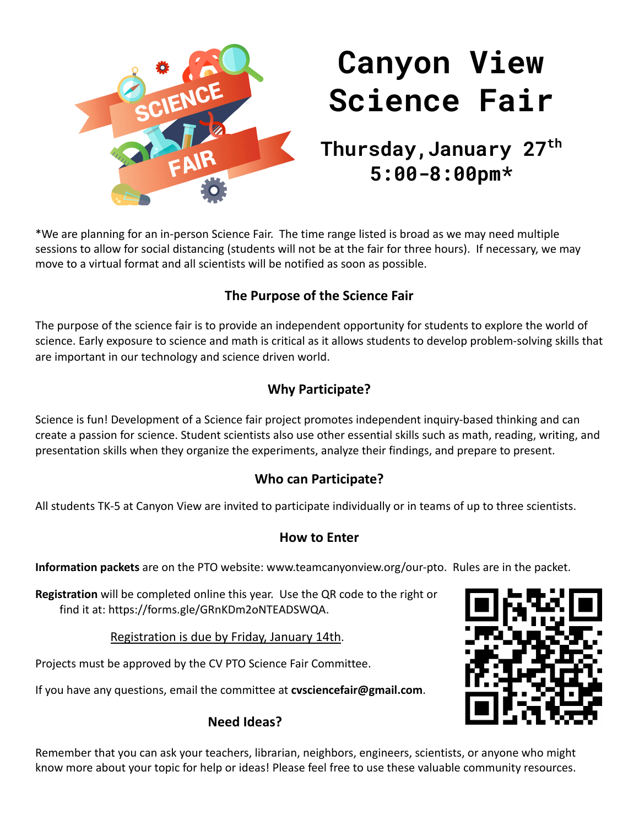

\*We are planning for an in-person Science Fair. The time range listed is broad as we may need multiple sessions to allow for social distancing (students will not be at the fair for three hours). If necessary, we may move to a virtual format and all scientists will be notified as soon as possible.

## **The Purpose of the Science Fair**

The purpose of the science fair is to provide an independent opportunity for students to explore the world of science. Early exposure to science and math is critical as it allows students to develop problem-solving skills that are important in our technology and science driven world.

# **Why Participate?**

Science is fun! Development of a Science fair project promotes independent inquiry-based thinking and can create a passion for science. Student scientists also use other essential skills such as math, reading, writing, and presentation skills when they organize the experiments, analyze their findings, and prepare to present.

# **Who can Participate?**

All students TK-5 at Canyon View are invited to participate individually or in teams of up to three scientists.

## **How to Enter**

**Information packets** are on the PTO website: www.teamcanyonview.org/our-pto. Rules are in the packet.

**Registration** will be completed online this year. Use the QR code to the right or find it at: https://forms.gle/GRnKDm2oNTEADSWQA.

Registration is due by Friday, January 14th.

Projects must be approved by the CV PTO Science Fair Committee.

If you have any questions, email the committee at **cvsciencefair@gmail.com**.

## **Need Ideas?**

Remember that you can ask your teachers, librarian, neighbors, engineers, scientists, or anyone who might know more about your topic for help or ideas! Please feel free to use these valuable community resources.

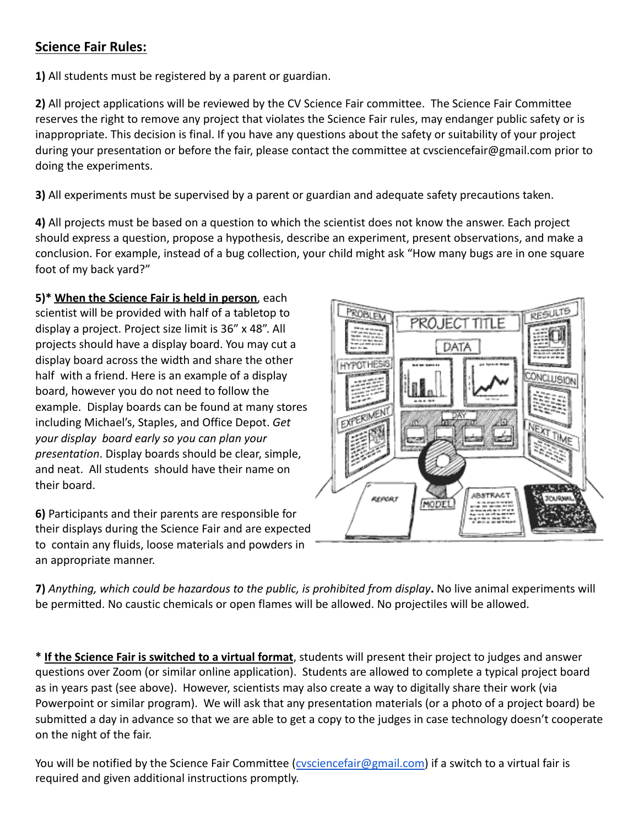## **Science Fair Rules:**

**1)** All students must be registered by a parent or guardian.

**2)** All project applications will be reviewed by the CV Science Fair committee. The Science Fair Committee reserves the right to remove any project that violates the Science Fair rules, may endanger public safety or is inappropriate. This decision is final. If you have any questions about the safety or suitability of your project during your presentation or before the fair, please contact the committee at cvsciencefair@gmail.com prior to doing the experiments.

**3)** All experiments must be supervised by a parent or guardian and adequate safety precautions taken.

**4)** All projects must be based on a question to which the scientist does not know the answer. Each project should express a question, propose a hypothesis, describe an experiment, present observations, and make a conclusion. For example, instead of a bug collection, your child might ask "How many bugs are in one square foot of my back yard?"

## **5)\* When the Science Fair is held in person**, each

scientist will be provided with half of a tabletop to display a project. Project size limit is 36" x 48". All projects should have a display board. You may cut a display board across the width and share the other half with a friend. Here is an example of a display board, however you do not need to follow the example. Display boards can be found at many stores including Michael's, Staples, and Office Depot. *Get your display board early so you can plan your presentation*. Display boards should be clear, simple, and neat. All students should have their name on their board.

**6)** Participants and their parents are responsible for their displays during the Science Fair and are expected to contain any fluids, loose materials and powders in an appropriate manner.



**7)** *Anything, which could be hazardous to the public, is prohibited from display***.** No live animal experiments will be permitted. No caustic chemicals or open flames will be allowed. No projectiles will be allowed.

**\* If the Science Fair is switched to a virtual format**, students will present their project to judges and answer questions over Zoom (or similar online application). Students are allowed to complete a typical project board as in years past (see above). However, scientists may also create a way to digitally share their work (via Powerpoint or similar program). We will ask that any presentation materials (or a photo of a project board) be submitted a day in advance so that we are able to get a copy to the judges in case technology doesn't cooperate on the night of the fair.

You will be notified by the Science Fair Committee (cysciencefair@gmail.com) if a switch to a virtual fair is required and given additional instructions promptly.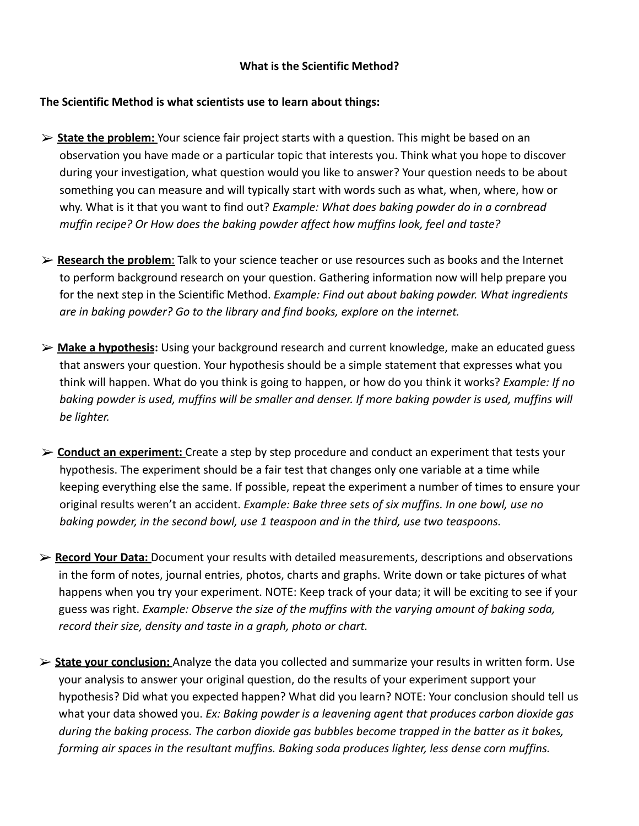#### **What is the Scientific Method?**

#### **The Scientific Method is what scientists use to learn about things:**

- ➢ **State the problem:** Your science fair project starts with a question. This might be based on an observation you have made or a particular topic that interests you. Think what you hope to discover during your investigation, what question would you like to answer? Your question needs to be about something you can measure and will typically start with words such as what, when, where, how or why. What is it that you want to find out? *Example: What does baking powder do in a cornbread muffin recipe? Or How does the baking powder affect how muffins look, feel and taste?*
- ➢ **Research the problem**: Talk to your science teacher or use resources such as books and the Internet to perform background research on your question. Gathering information now will help prepare you for the next step in the Scientific Method. *Example: Find out about baking powder. What ingredients are in baking powder? Go to the library and find books, explore on the internet.*
- ➢ **Make a hypothesis:** Using your background research and current knowledge, make an educated guess that answers your question. Your hypothesis should be a simple statement that expresses what you think will happen. What do you think is going to happen, or how do you think it works? *Example: If no baking powder is used, muffins will be smaller and denser. If more baking powder is used, muffins will be lighter.*
- ➢ **Conduct an experiment:** Create a step by step procedure and conduct an experiment that tests your hypothesis. The experiment should be a fair test that changes only one variable at a time while keeping everything else the same. If possible, repeat the experiment a number of times to ensure your original results weren't an accident. *Example: Bake three sets of six muffins. In one bowl, use no baking powder, in the second bowl, use 1 teaspoon and in the third, use two teaspoons.*
- ➢ **Record Your Data:** Document your results with detailed measurements, descriptions and observations in the form of notes, journal entries, photos, charts and graphs. Write down or take pictures of what happens when you try your experiment. NOTE: Keep track of your data; it will be exciting to see if your guess was right. *Example: Observe the size of the muffins with the varying amount of baking soda, record their size, density and taste in a graph, photo or chart.*
- ➢ **State your conclusion:** Analyze the data you collected and summarize your results in written form. Use your analysis to answer your original question, do the results of your experiment support your hypothesis? Did what you expected happen? What did you learn? NOTE: Your conclusion should tell us what your data showed you. *Ex: Baking powder is a leavening agent that produces carbon dioxide gas during the baking process. The carbon dioxide gas bubbles become trapped in the batter as it bakes, forming air spaces in the resultant muffins. Baking soda produces lighter, less dense corn muffins.*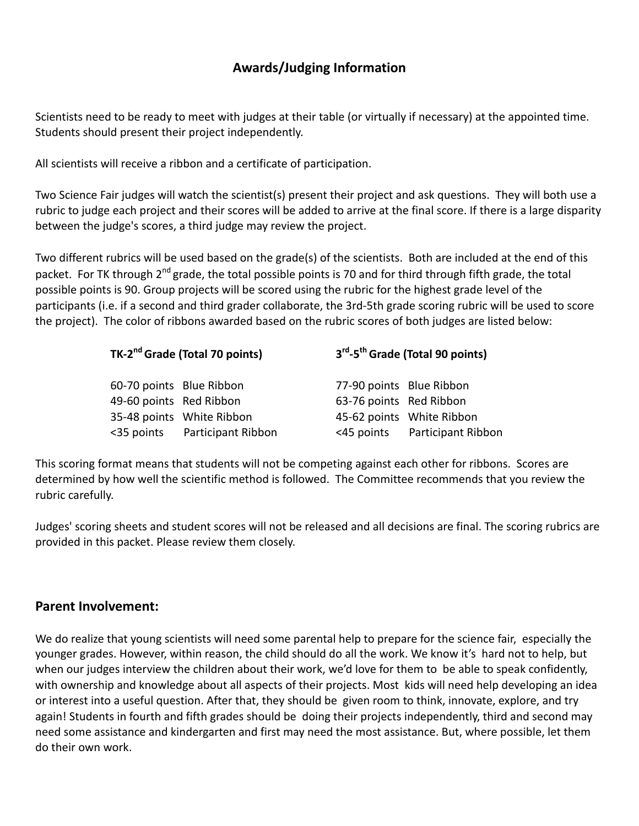## **Awards/Judging Information**

Scientists need to be ready to meet with judges at their table (or virtually if necessary) at the appointed time. Students should present their project independently.

All scientists will receive a ribbon and a certificate of participation.

Two Science Fair judges will watch the scientist(s) present their project and ask questions. They will both use a rubric to judge each project and their scores will be added to arrive at the final score. If there is a large disparity between the judge's scores, a third judge may review the project.

Two different rubrics will be used based on the grade(s) of the scientists. Both are included at the end of this packet. For TK through 2<sup>nd</sup> grade, the total possible points is 70 and for third through fifth grade, the total possible points is 90. Group projects will be scored using the rubric for the highest grade level of the participants (i.e. if a second and third grader collaborate, the 3rd-5th grade scoring rubric will be used to score the project). The color of ribbons awarded based on the rubric scores of both judges are listed below:

|                          | TK-2 <sup>nd</sup> Grade (Total 70 points) | 3 <sup>rd</sup> -5 <sup>th</sup> Grade (Total 90 points) |                                  |  |
|--------------------------|--------------------------------------------|----------------------------------------------------------|----------------------------------|--|
| 60-70 points Blue Ribbon |                                            | 77-90 points Blue Ribbon                                 |                                  |  |
| 49-60 points Red Ribbon  |                                            | 63-76 points Red Ribbon                                  |                                  |  |
|                          | 35-48 points White Ribbon                  |                                                          | 45-62 points White Ribbon        |  |
|                          | <35 points    Participant Ribbon           |                                                          | <45 points    Participant Ribbon |  |

This scoring format means that students will not be competing against each other for ribbons. Scores are determined by how well the scientific method is followed. The Committee recommends that you review the rubric carefully.

Judges' scoring sheets and student scores will not be released and all decisions are final. The scoring rubrics are provided in this packet. Please review them closely.

### **Parent Involvement:**

We do realize that young scientists will need some parental help to prepare for the science fair, especially the younger grades. However, within reason, the child should do all the work. We know it's hard not to help, but when our judges interview the children about their work, we'd love for them to be able to speak confidently, with ownership and knowledge about all aspects of their projects. Most kids will need help developing an idea or interest into a useful question. After that, they should be given room to think, innovate, explore, and try again! Students in fourth and fifth grades should be doing their projects independently, third and second may need some assistance and kindergarten and first may need the most assistance. But, where possible, let them do their own work.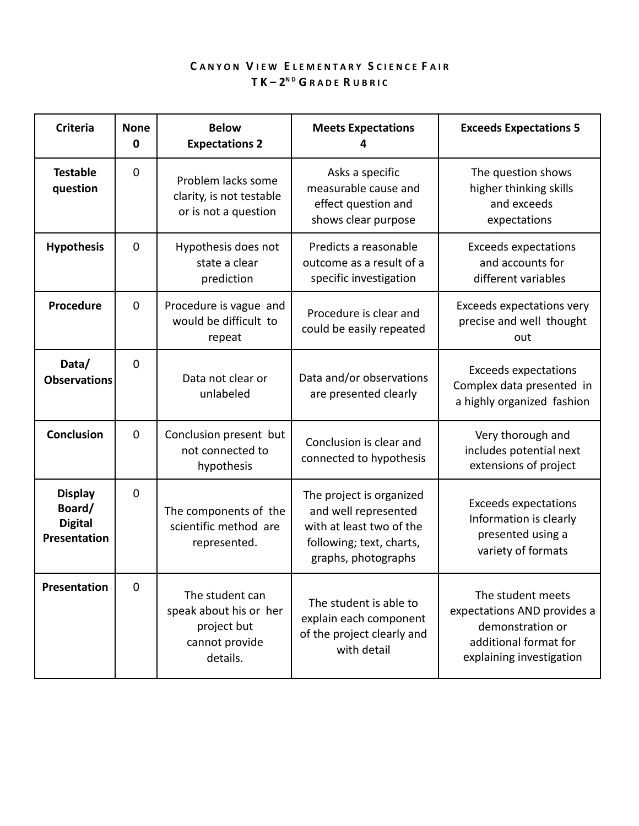### CANYON VIEW ELEMENTARY SCIENCE FAIR **T K – 2<sup>N</sup> <sup>D</sup> G R A D E R U B R I C**

| <b>Criteria</b>                                            | <b>None</b><br>0 | <b>Below</b><br><b>Expectations 2</b>                                                  | <b>Meets Expectations</b><br>4                                                                                                  | <b>Exceeds Expectations 5</b>                                                                                             |
|------------------------------------------------------------|------------------|----------------------------------------------------------------------------------------|---------------------------------------------------------------------------------------------------------------------------------|---------------------------------------------------------------------------------------------------------------------------|
| <b>Testable</b><br>question                                | $\mathbf 0$      | Problem lacks some<br>clarity, is not testable<br>or is not a question                 | Asks a specific<br>measurable cause and<br>effect question and<br>shows clear purpose                                           | The question shows<br>higher thinking skills<br>and exceeds<br>expectations                                               |
| <b>Hypothesis</b>                                          | $\mathbf 0$      | Hypothesis does not<br>state a clear<br>prediction                                     | Predicts a reasonable<br>outcome as a result of a<br>specific investigation                                                     | <b>Exceeds expectations</b><br>and accounts for<br>different variables                                                    |
| <b>Procedure</b>                                           | $\overline{0}$   | Procedure is vague and<br>would be difficult to<br>repeat                              | Procedure is clear and<br>could be easily repeated                                                                              | Exceeds expectations very<br>precise and well thought<br>out                                                              |
| Data/<br><b>Observations</b>                               | $\overline{0}$   | Data not clear or<br>unlabeled                                                         | Data and/or observations<br>are presented clearly                                                                               | <b>Exceeds expectations</b><br>Complex data presented in<br>a highly organized fashion                                    |
| <b>Conclusion</b>                                          | $\mathbf 0$      | Conclusion present but<br>not connected to<br>hypothesis                               | Conclusion is clear and<br>connected to hypothesis                                                                              | Very thorough and<br>includes potential next<br>extensions of project                                                     |
| <b>Display</b><br>Board/<br><b>Digital</b><br>Presentation | $\mathbf 0$      | The components of the<br>scientific method are<br>represented.                         | The project is organized<br>and well represented<br>with at least two of the<br>following; text, charts,<br>graphs, photographs | <b>Exceeds expectations</b><br>Information is clearly<br>presented using a<br>variety of formats                          |
| Presentation                                               | 0                | The student can<br>speak about his or her<br>project but<br>cannot provide<br>details. | The student is able to<br>explain each component<br>of the project clearly and<br>with detail                                   | The student meets<br>expectations AND provides a<br>demonstration or<br>additional format for<br>explaining investigation |